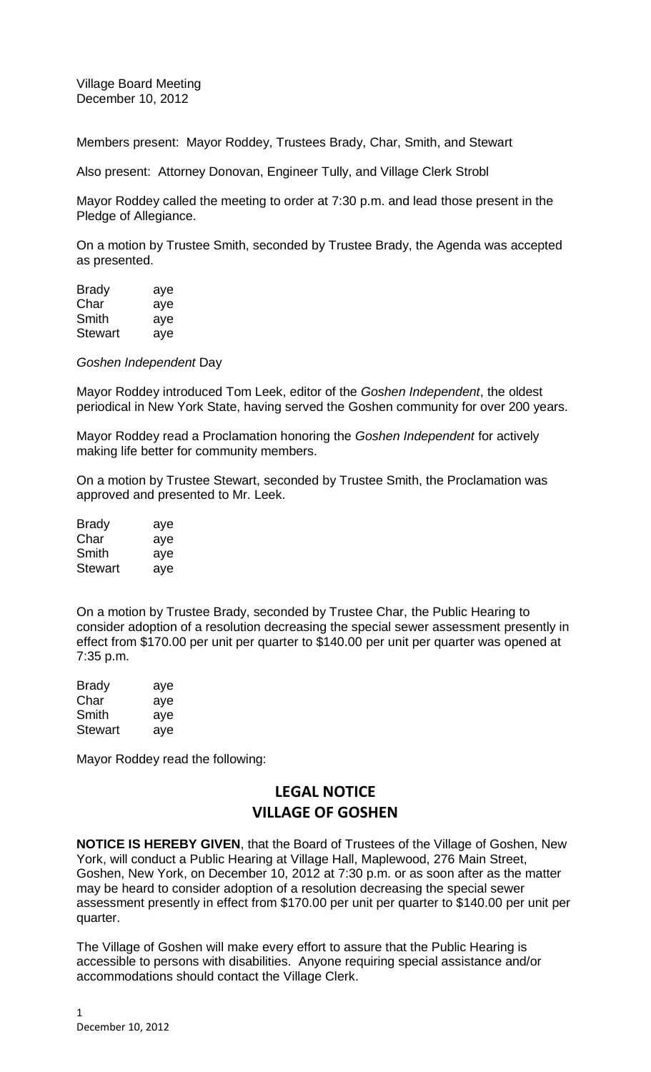Village Board Meeting December 10, 2012

Members present: Mayor Roddey, Trustees Brady, Char, Smith, and Stewart

Also present: Attorney Donovan, Engineer Tully, and Village Clerk Strobl

Mayor Roddey called the meeting to order at 7:30 p.m. and lead those present in the Pledge of Allegiance.

On a motion by Trustee Smith, seconded by Trustee Brady, the Agenda was accepted as presented.

| Brady   | aye |
|---------|-----|
| Char    | aye |
| Smith   | aye |
| Stewart | aye |

*Goshen Independent* Day

Mayor Roddey introduced Tom Leek, editor of the *Goshen Independent*, the oldest periodical in New York State, having served the Goshen community for over 200 years.

Mayor Roddey read a Proclamation honoring the *Goshen Independent* for actively making life better for community members.

On a motion by Trustee Stewart, seconded by Trustee Smith, the Proclamation was approved and presented to Mr. Leek.

| Brady          | aye |
|----------------|-----|
| Char           | aye |
| Smith          | aye |
| <b>Stewart</b> | aye |

On a motion by Trustee Brady, seconded by Trustee Char, the Public Hearing to consider adoption of a resolution decreasing the special sewer assessment presently in effect from \$170.00 per unit per quarter to \$140.00 per unit per quarter was opened at 7:35 p.m.

| <b>Brady</b>   | aye |
|----------------|-----|
| Char           | aye |
| Smith          | aye |
| <b>Stewart</b> | aye |

Mayor Roddey read the following:

## **LEGAL NOTICE VILLAGE OF GOSHEN**

**NOTICE IS HEREBY GIVEN**, that the Board of Trustees of the Village of Goshen, New York, will conduct a Public Hearing at Village Hall, Maplewood, 276 Main Street, Goshen, New York, on December 10, 2012 at 7:30 p.m. or as soon after as the matter may be heard to consider adoption of a resolution decreasing the special sewer assessment presently in effect from \$170.00 per unit per quarter to \$140.00 per unit per quarter.

The Village of Goshen will make every effort to assure that the Public Hearing is accessible to persons with disabilities. Anyone requiring special assistance and/or accommodations should contact the Village Clerk.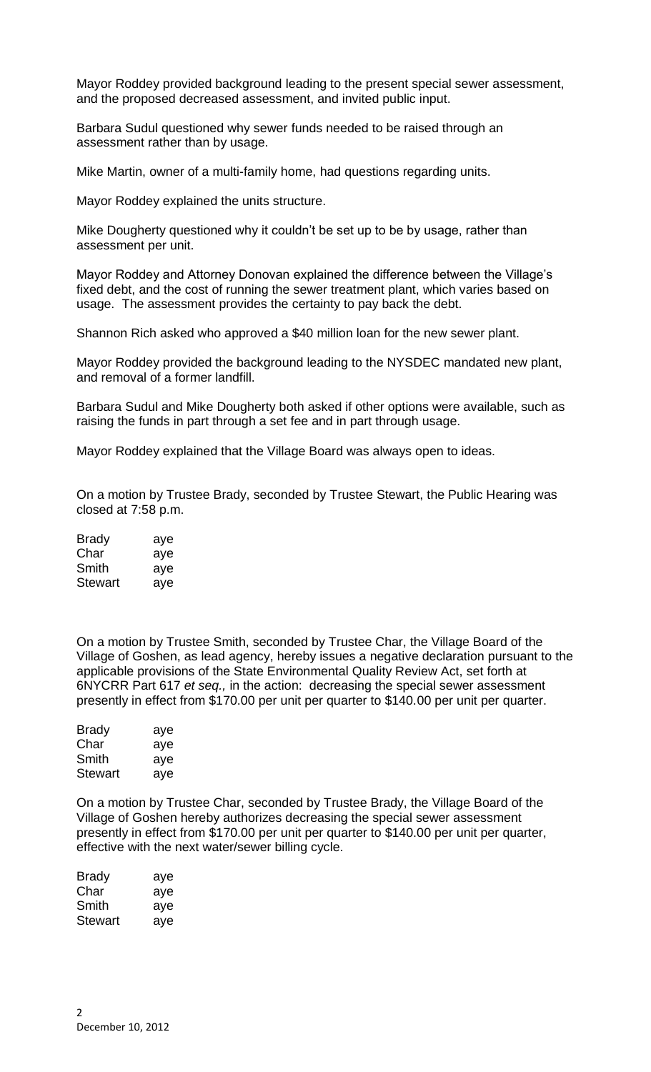Mayor Roddey provided background leading to the present special sewer assessment, and the proposed decreased assessment, and invited public input.

Barbara Sudul questioned why sewer funds needed to be raised through an assessment rather than by usage.

Mike Martin, owner of a multi-family home, had questions regarding units.

Mayor Roddey explained the units structure.

Mike Dougherty questioned why it couldn't be set up to be by usage, rather than assessment per unit.

Mayor Roddey and Attorney Donovan explained the difference between the Village's fixed debt, and the cost of running the sewer treatment plant, which varies based on usage. The assessment provides the certainty to pay back the debt.

Shannon Rich asked who approved a \$40 million loan for the new sewer plant.

Mayor Roddey provided the background leading to the NYSDEC mandated new plant, and removal of a former landfill.

Barbara Sudul and Mike Dougherty both asked if other options were available, such as raising the funds in part through a set fee and in part through usage.

Mayor Roddey explained that the Village Board was always open to ideas.

On a motion by Trustee Brady, seconded by Trustee Stewart, the Public Hearing was closed at 7:58 p.m.

| Brady          | aye |
|----------------|-----|
| Char           | aye |
| Smith          | aye |
| <b>Stewart</b> | aye |

On a motion by Trustee Smith, seconded by Trustee Char, the Village Board of the Village of Goshen, as lead agency, hereby issues a negative declaration pursuant to the applicable provisions of the State Environmental Quality Review Act, set forth at 6NYCRR Part 617 *et seq.,* in the action: decreasing the special sewer assessment presently in effect from \$170.00 per unit per quarter to \$140.00 per unit per quarter.

| Brady   | aye |
|---------|-----|
| Char    | aye |
| Smith   | aye |
| Stewart | aye |

On a motion by Trustee Char, seconded by Trustee Brady, the Village Board of the Village of Goshen hereby authorizes decreasing the special sewer assessment presently in effect from \$170.00 per unit per quarter to \$140.00 per unit per quarter, effective with the next water/sewer billing cycle.

| Brady   | aye |
|---------|-----|
| Char    | aye |
| Smith   | aye |
| Stewart | aye |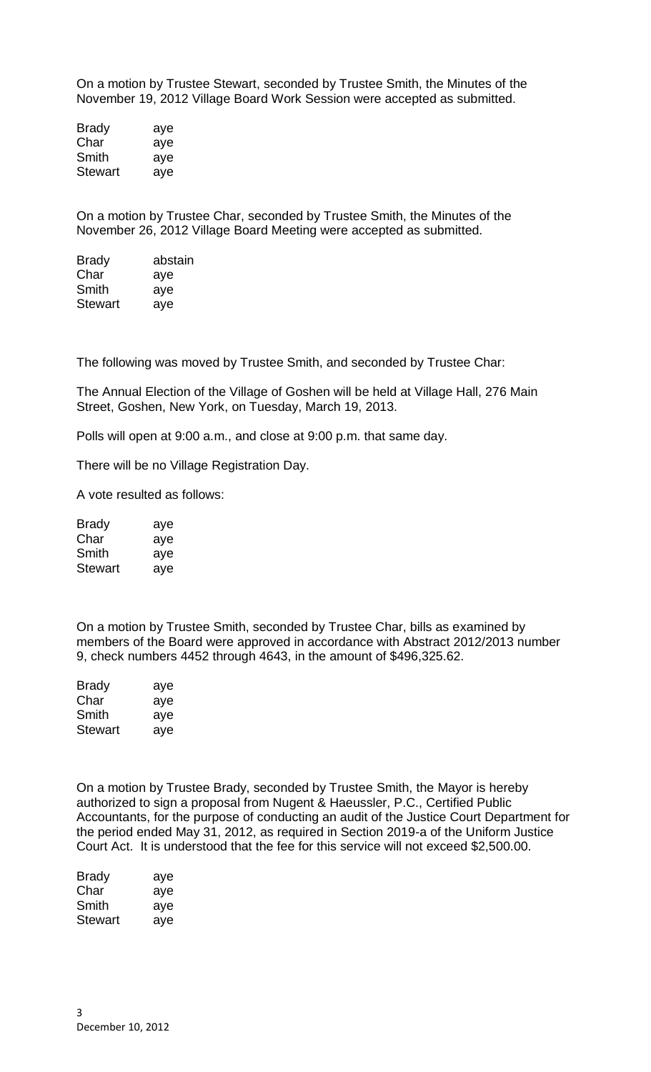On a motion by Trustee Stewart, seconded by Trustee Smith, the Minutes of the November 19, 2012 Village Board Work Session were accepted as submitted.

Brady aye Char aye Smith aye Stewart aye

On a motion by Trustee Char, seconded by Trustee Smith, the Minutes of the November 26, 2012 Village Board Meeting were accepted as submitted.

| <b>Brady</b> | abstain |
|--------------|---------|
| Char         | aye     |
| Smith        | aye     |
| Stewart      | aye     |

The following was moved by Trustee Smith, and seconded by Trustee Char:

The Annual Election of the Village of Goshen will be held at Village Hall, 276 Main Street, Goshen, New York, on Tuesday, March 19, 2013.

Polls will open at 9:00 a.m., and close at 9:00 p.m. that same day.

There will be no Village Registration Day.

A vote resulted as follows:

| <b>Brady</b> | aye |
|--------------|-----|
| Char         | aye |
| Smith        | aye |
| Stewart      | aye |

On a motion by Trustee Smith, seconded by Trustee Char, bills as examined by members of the Board were approved in accordance with Abstract 2012/2013 number 9, check numbers 4452 through 4643, in the amount of \$496,325.62.

| <b>Brady</b>   | aye |
|----------------|-----|
| Char           | aye |
| Smith          | aye |
| <b>Stewart</b> | aye |

On a motion by Trustee Brady, seconded by Trustee Smith, the Mayor is hereby authorized to sign a proposal from Nugent & Haeussler, P.C., Certified Public Accountants, for the purpose of conducting an audit of the Justice Court Department for the period ended May 31, 2012, as required in Section 2019-a of the Uniform Justice Court Act. It is understood that the fee for this service will not exceed \$2,500.00.

| Brady   | aye |
|---------|-----|
| Char    | aye |
| Smith   | aye |
| Stewart | aye |